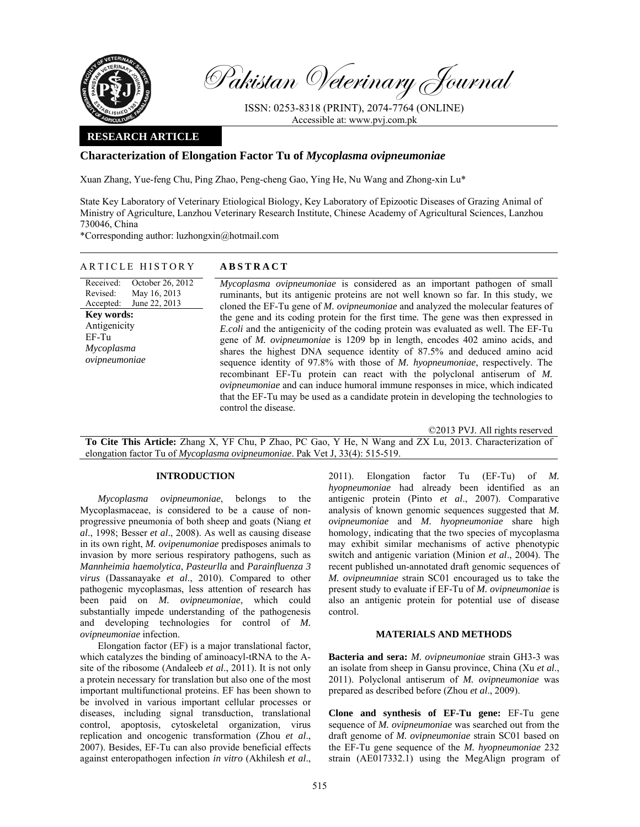

Pakistan Veterinary Journal

ISSN: 0253-8318 (PRINT), 2074-7764 (ONLINE) Accessible at: www.pvj.com.pk

## **RESEARCH ARTICLE**

# **Characterization of Elongation Factor Tu of** *Mycoplasma ovipneumoniae*

Xuan Zhang, Yue-feng Chu, Ping Zhao, Peng-cheng Gao, Ying He, Nu Wang and Zhong-xin Lu\*

State Key Laboratory of Veterinary Etiological Biology, Key Laboratory of Epizootic Diseases of Grazing Animal of Ministry of Agriculture, Lanzhou Veterinary Research Institute, Chinese Academy of Agricultural Sciences, Lanzhou 730046, China

\*Corresponding author: luzhongxin@hotmail.com

# ARTICLE HISTORY **ABSTRACT**

Received: Revised: Accepted: October 26, 2012 May 16, 2013 June 22, 2013 **Key words:**  Antigenicity EF-Tu *Mycoplasma ovipneumoniae*

*Mycoplasma ovipneumoniae* is considered as an important pathogen of small ruminants, but its antigenic proteins are not well known so far. In this study, we cloned the EF-Tu gene of *M. ovipneumoniae* and analyzed the molecular features of the gene and its coding protein for the first time*.* The gene was then expressed in *E.coli* and the antigenicity of the coding protein was evaluated as well. The EF-Tu gene of *M. ovipneumoniae* is 1209 bp in length, encodes 402 amino acids, and shares the highest DNA sequence identity of 87.5% and deduced amino acid sequence identity of 97.8% with those of *M. hyopneumoniae*, respectively. The recombinant EF-Tu protein can react with the polyclonal antiserum of *M. ovipneumoniae* and can induce humoral immune responses in mice, which indicated that the EF-Tu may be used as a candidate protein in developing the technologies to control the disease.

©2013 PVJ. All rights reserved

**To Cite This Article:** Zhang X, YF Chu, P Zhao, PC Gao, Y He, N Wang and ZX Lu, 2013. Characterization of elongation factor Tu of *Mycoplasma ovipneumoniae*. Pak Vet J, 33(4): 515-519.

## **INTRODUCTION**

*Mycoplasma ovipneumoniae*, belongs to the Mycoplasmaceae, is considered to be a cause of nonprogressive pneumonia of both sheep and goats (Niang *et al*., 1998; Besser *et al*., 2008). As well as causing disease in its own right, *M. ovipenumoniae* predisposes animals to invasion by more serious respiratory pathogens, such as *Mannheimia haemolytica*, *Pasteurlla* and *Parainfluenza 3 virus* (Dassanayake *et al*., 2010). Compared to other pathogenic mycoplasmas, less attention of research has been paid on *M. ovipneumoniae*, which could substantially impede understanding of the pathogenesis and developing technologies for control of *M. ovipneumoniae* infection.

Elongation factor (EF) is a major translational factor, which catalyzes the binding of aminoacyl-tRNA to the Asite of the ribosome (Andaleeb *et al*., 2011). It is not only a protein necessary for translation but also one of the most important multifunctional proteins. EF has been shown to be involved in various important cellular processes or diseases, including signal transduction, translational control, apoptosis, cytoskeletal organization, virus replication and oncogenic transformation (Zhou *et al*., 2007). Besides, EF-Tu can also provide beneficial effects against enteropathogen infection *in vitro* (Akhilesh *et al*.,

2011). Elongation factor Tu (EF-Tu) of *M. hyopneumoniae* had already been identified as an antigenic protein (Pinto *et al*., 2007). Comparative analysis of known genomic sequences suggested that *M. ovipneumoniae* and *M. hyopneumoniae* share high homology, indicating that the two species of mycoplasma may exhibit similar mechanisms of active phenotypic switch and antigenic variation (Minion *et al*., 2004). The recent published un-annotated draft genomic sequences of *M. ovipneumniae* strain SC01 encouraged us to take the present study to evaluate if EF-Tu of *M. ovipneumoniae* is also an antigenic protein for potential use of disease control.

### **MATERIALS AND METHODS**

**Bacteria and sera:** *M. ovipneumoniae* strain GH3-3 was an isolate from sheep in Gansu province, China (Xu *et al*., 2011). Polyclonal antiserum of *M. ovipneumoniae* was prepared as described before (Zhou *et al*., 2009).

**Clone and synthesis of EF-Tu gene:** EF-Tu gene sequence of *M. ovipneumoniae* was searched out from the draft genome of *M. ovipneumoniae* strain SC01 based on the EF-Tu gene sequence of the *M. hyopneumoniae* 232 strain (AE017332.1) using the MegAlign program of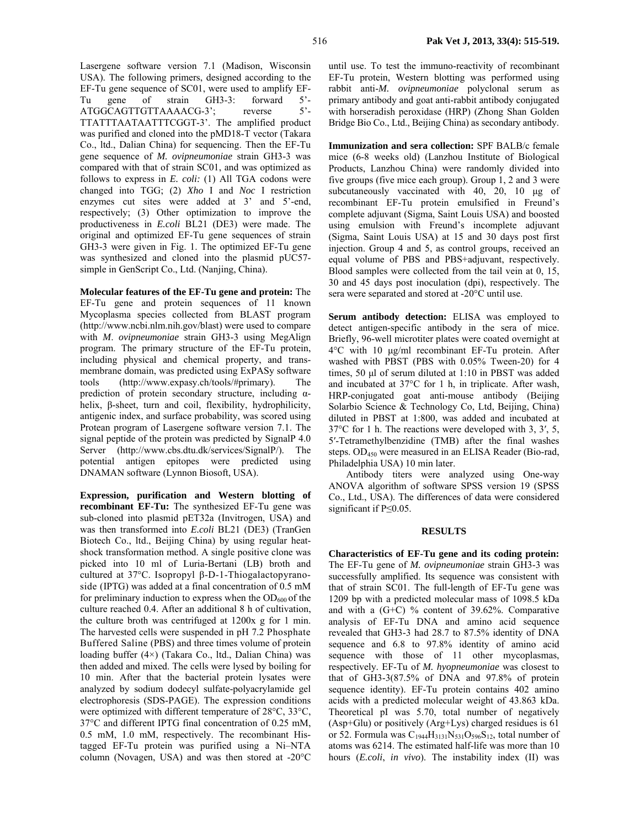Lasergene software version 7.1 (Madison, Wisconsin USA). The following primers, designed according to the EF-Tu gene sequence of SC01, were used to amplify EF-Tu gene of strain GH3-3: forward 5'-<br>ATGGCAGTTGTTAAAACG-3'; reverse 5'-ATGGCAGTTGTTAAAACG-3'; reverse 5'-TTATTTAATAATTTCGGT-3'. The amplified product was purified and cloned into the pMD18-T vector (Takara Co., ltd., Dalian China) for sequencing. Then the EF-Tu gene sequence of *M. ovipneumoniae* strain GH3-3 was compared with that of strain SC01, and was optimized as follows to express in *E. coli:* (1) All TGA codons were changed into TGG; (2) *Xho* I and *Noc* I restriction enzymes cut sites were added at 3' and 5'-end, respectively; (3) Other optimization to improve the productiveness in *E.coli* BL21 (DE3) were made. The original and optimized EF-Tu gene sequences of strain GH3-3 were given in Fig. 1. The optimized EF-Tu gene was synthesized and cloned into the plasmid pUC57 simple in GenScript Co., Ltd. (Nanjing, China).

**Molecular features of the EF-Tu gene and protein:** The EF-Tu gene and protein sequences of 11 known Mycoplasma species collected from BLAST program (http://www.ncbi.nlm.nih.gov/blast) were used to compare with *M*. *ovipneumoniae* strain GH3-3 using MegAlign program. The primary structure of the EF-Tu protein, including physical and chemical property, and transmembrane domain, was predicted using ExPASy software tools (http://www.expasy.ch/tools/#primary). The prediction of protein secondary structure, including αhelix, β-sheet, turn and coil, flexibility, hydrophilicity, antigenic index, and surface probability, was scored using Protean program of Lasergene software version 7.1. The signal peptide of the protein was predicted by SignalP 4.0 Server (http://www.cbs.dtu.dk/services/SignalP/). The potential antigen epitopes were predicted using DNAMAN software (Lynnon Biosoft, USA).

**Expression, purification and Western blotting of recombinant EF-Tu:** The synthesized EF-Tu gene was sub-cloned into plasmid pET32a (Invitrogen, USA) and was then transformed into *E.coli* BL21 (DE3) (TranGen Biotech Co., ltd., Beijing China) by using regular heatshock transformation method. A single positive clone was picked into 10 ml of Luria-Bertani (LB) broth and cultured at 37°C. Isopropyl β-D-1-Thiogalactopyranoside (IPTG) was added at a final concentration of 0.5 mM for preliminary induction to express when the  $OD_{600}$  of the culture reached 0.4. After an additional 8 h of cultivation, the culture broth was centrifuged at 1200x g for 1 min. The harvested cells were suspended in pH 7.2 Phosphate Buffered Saline (PBS) and three times volume of protein loading buffer (4×) (Takara Co., ltd., Dalian China) was then added and mixed. The cells were lysed by boiling for 10 min. After that the bacterial protein lysates were analyzed by sodium dodecyl sulfate-polyacrylamide gel electrophoresis (SDS-PAGE). The expression conditions were optimized with different temperature of 28°C, 33°C, 37°C and different IPTG final concentration of 0.25 mM, 0.5 mM, 1.0 mM, respectively. The recombinant Histagged EF-Tu protein was purified using a Ni–NTA column (Novagen, USA) and was then stored at -20°C

until use. To test the immuno-reactivity of recombinant EF-Tu protein, Western blotting was performed using rabbit anti-*M. ovipneumoniae* polyclonal serum as primary antibody and goat anti-rabbit antibody conjugated with horseradish peroxidase (HRP) (Zhong Shan Golden Bridge Bio Co., Ltd., Beijing China) as secondary antibody.

**Immunization and sera collection:** SPF BALB/c female mice (6-8 weeks old) (Lanzhou Institute of Biological Products, Lanzhou China) were randomly divided into five groups (five mice each group). Group 1, 2 and 3 were subcutaneously vaccinated with 40, 20, 10 µg of recombinant EF-Tu protein emulsified in Freund's complete adjuvant (Sigma, Saint Louis USA) and boosted using emulsion with Freund's incomplete adjuvant (Sigma, Saint Louis USA) at 15 and 30 days post first injection. Group 4 and 5, as control groups, received an equal volume of PBS and PBS+adjuvant, respectively. Blood samples were collected from the tail vein at 0, 15, 30 and 45 days post inoculation (dpi), respectively. The sera were separated and stored at -20°C until use.

**Serum antibody detection:** ELISA was employed to detect antigen-specific antibody in the sera of mice. Briefly, 96-well microtiter plates were coated overnight at 4°C with 10 µg/ml recombinant EF-Tu protein. After washed with PBST (PBS with 0.05% Tween-20) for 4 times, 50 µl of serum diluted at 1:10 in PBST was added and incubated at 37°C for 1 h, in triplicate. After wash, HRP-conjugated goat anti-mouse antibody (Beijing Solarbio Science & Technology Co, Ltd, Beijing, China) diluted in PBST at 1:800, was added and incubated at 37°C for 1 h. The reactions were developed with 3, 3′, 5, 5′-Tetramethylbenzidine (TMB) after the final washes steps. OD<sub>450</sub> were measured in an ELISA Reader (Bio-rad, Philadelphia USA) 10 min later.

Antibody titers were analyzed using One-way ANOVA algorithm of software SPSS version 19 (SPSS Co., Ltd., USA). The differences of data were considered significant if P≤0.05.

#### **RESULTS**

**Characteristics of EF-Tu gene and its coding protein:**  The EF-Tu gene of *M. ovipneumoniae* strain GH3-3 was successfully amplified. Its sequence was consistent with that of strain SC01. The full-length of EF-Tu gene was 1209 bp with a predicted molecular mass of 1098.5 kDa and with a  $(G+C)$  % content of 39.62%. Comparative analysis of EF-Tu DNA and amino acid sequence revealed that GH3-3 had 28.7 to 87.5% identity of DNA sequence and 6.8 to 97.8% identity of amino acid sequence with those of 11 other mycoplasmas, respectively. EF-Tu of *M. hyopneumoniae* was closest to that of GH3-3(87.5% of DNA and 97.8% of protein sequence identity). EF-Tu protein contains 402 amino acids with a predicted molecular weight of 43.863 kDa. Theoretical pI was 5.70, total number of negatively (Asp+Glu) or positively (Arg+Lys) charged residues is 61 or 52. Formula was  $C_{1944}H_{3131}N_{531}O_{596}S_{12}$ , total number of atoms was 6214. The estimated half-life was more than 10 hours (*E.coli*, *in vivo*). The instability index (II) was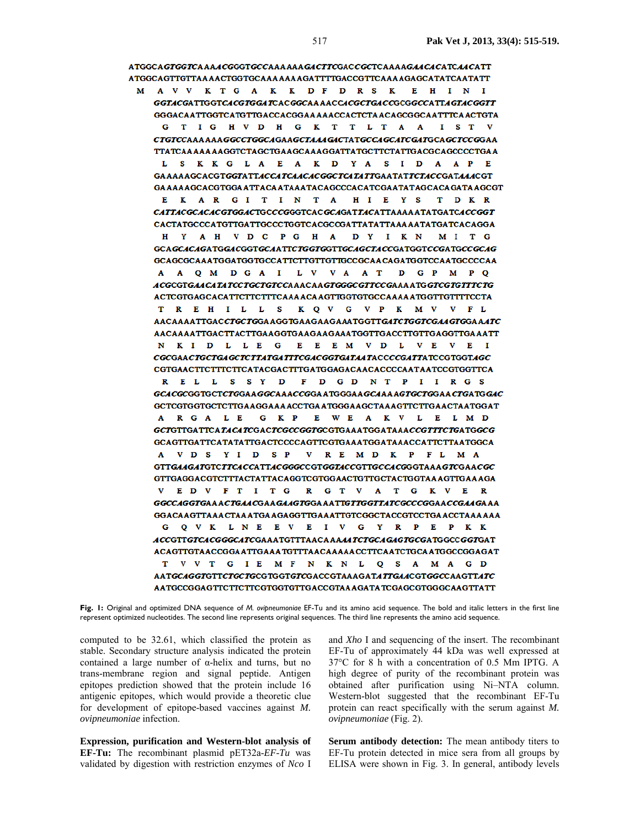ATGGCAGTGGTCAAAACGGGTGCCAAAAAAGACTTCGACCGCTCAAAAGAACACATCAACATT ATGGCAGTTGTTAAAACTGGTGCAAAAAAAGATTTTGACCGTTCAAAAGAGCATATCAATATT M A V V K T G A K K D F D R S K E H I N I GGTACGATTGGTCACGTGGATCACGGCAAAACCACGCTGACCGCGGCCATTAGTACGGTT GGGACAATTGGTCATGTTGACCACGGAAAAACCACTCTAACAGCGGCAATTTCAACTGTA G T I G H V D H G K T T L T A A I S T V CTGTCCAAAAAAGGCCTGGCAGAAGCTAAAG4CTATGCCAGCATCGATGCAGCTCCGGAA TTATCAAAAAAAGGTCTAGCTGAAGCAAAGGATTATGCTTCTATTGACGCAGCCCCTGAA S K K G L A E A K D Y A S I D A A P E L. GAAAAAGCACGTGGTATTACCATCAACACGGCTCATATTGAATATTCTACCGATAAACGT GAAAAAGCACGTGGAATTACAATAAATACAGCCCACATCGAATATAGCACAGATAAGCGT E KARGITINTA HI E Y S T D K R CATTACGCACACGTGGACTGCCCGGGTCACGCAGATTACATTAAAAATATGATCACCGGT CACTATGCCCATGTTGATTGCCCTGGTCACGCCGATTATATTAAAAATATGATCACAGGA H Y A H V D C P G H A D Y I K N M I T G GCAGCACAGATGGACGGTGCAATTCTGGTGGTTGCAGCTACCGATGGTCCGATGCCGCAG GCAGCGCAAATGGATGGTGCCATTCTTGTTGTTGCCGCAACAGATGGTCCAATGCCCCAA A Q M D G A I L V V A A T D G P M P Q ACGCGTGAACATATCCTGCTGTCCAAACAAGTGGGCGTTCCGAAAATGGTCGTGTTTCTG ACTCGTGAGCACATTCTTCTTTCAAAACAAGTTGGTGTGCCAAAAATGGTTGTTTTCCTA TREHILLS KQVG VPK MV V FL AACAAAATTGACCTGCTGGAAGGTGAAGAAGAAATGGTTGATCTGGTCGAAGTGGAAATC AACAAAATTGACTTACTTGAAGGTGAAGAAGAAATGGTTGACCTTGTTGAGGTTGAAATT N K I D L L E G E E E M V D L V E V E I CGCGAACTGCTGAGCTCTTATGATTTCGACGGTGATAATACCCCGATTATCCGTGGTAGC CGTGAACTTCTTTCTTCATACGACTTTGATGGAGACAACACCCCAATAATCCGTGGTTCA R E L L S S Y D F D G D N T P I I R G S GCACGCGGTGCTCTGGAAGGCAAACCGGAATGGGAAGCAAAAGTGCTGGAACTGATGGAC GCTCGTGGTGCTCTTGAAGGAAAACCTGAATGGGAAGCTAAAGTTCTTGAACTAATGGAT A R G A L E G K P E W E A K V L E L M D GCTGTTGATTCATACATCGACTCGCCGGTGCGTGAAATGGATAAACCGTTTCTGATGGCG GCAGTTGATTCATATATTGACTCCCCAGTTCGTGAAATGGATAAACCATTCTTAATGGCA A VDS YID SP V RE MD K P FL M A GTTGAAGATGTCTTCACCATTACGGGCCGTGGTACCGTTGCCACGGGTAAAGTCGAACGC GTTGAGGACGTCTTTACTATTACAGGTCGTGGAACTGTTGCTACTGGTAAAGTTGAAAGA V E D V F T I T G R G T V A T G K V E R GGCCAGGTGAA ACTGAACGAAGAAGTGGA AATTGTTGGTTATCGCCCGGAACCGAAGA AA GGACA AGTTAAA CTAA ATGA AGAGG TTGAAATTGTCGGC TACC GTCC TGA ACC TAAA AAA G Q V K L N E E V E I V G Y R P E P K K ACCGTTGTCACGGGCATCGAAATGTTTAACAAAAATCTGCAGAGTGCGATGGCCGGTGAT ACAGTTGTAACCGGAATTGAAATGTTTAACAAAAACCTTCAATCTGCAATGGCCGGAGAT T V V T G I E M F N K N L Q S A M A G D AATGCAGGTGTTCTGCTGCGTGGTGTCGACCGTAAAGATATTGAACGTGGCCAAGTTATC AATGCCGGAGTTCTTCTTCGTGGTGTTGACCGTAAAGATATCGAGCGTGGGCAAGTTATT

**Fig. 1:** Original and optimized DNA sequence of *M. ovipneumoniae* EF-Tu and its amino acid sequence. The bold and italic letters in the first line represent optimized nucleotides. The second line represents original sequences. The third line represents the amino acid sequence.

computed to be 32.61, which classified the protein as stable. Secondary structure analysis indicated the protein contained a large number of α-helix and turns, but no trans-membrane region and signal peptide. Antigen epitopes prediction showed that the protein include 16 antigenic epitopes, which would provide a theoretic clue for development of epitope-based vaccines against *M. ovipneumoniae* infection.

**Expression, purification and Western-blot analysis of EF-Tu:** The recombinant plasmid pET32a-*EF-Tu* was validated by digestion with restriction enzymes of *Nco* I

and *Xho* I and sequencing of the insert. The recombinant EF-Tu of approximately 44 kDa was well expressed at 37°C for 8 h with a concentration of 0.5 Mm IPTG. A high degree of purity of the recombinant protein was obtained after purification using Ni–NTA column. Western-blot suggested that the recombinant EF-Tu protein can react specifically with the serum against *M. ovipneumoniae* (Fig. 2).

**Serum antibody detection:** The mean antibody titers to EF-Tu protein detected in mice sera from all groups by ELISA were shown in Fig. 3. In general, antibody levels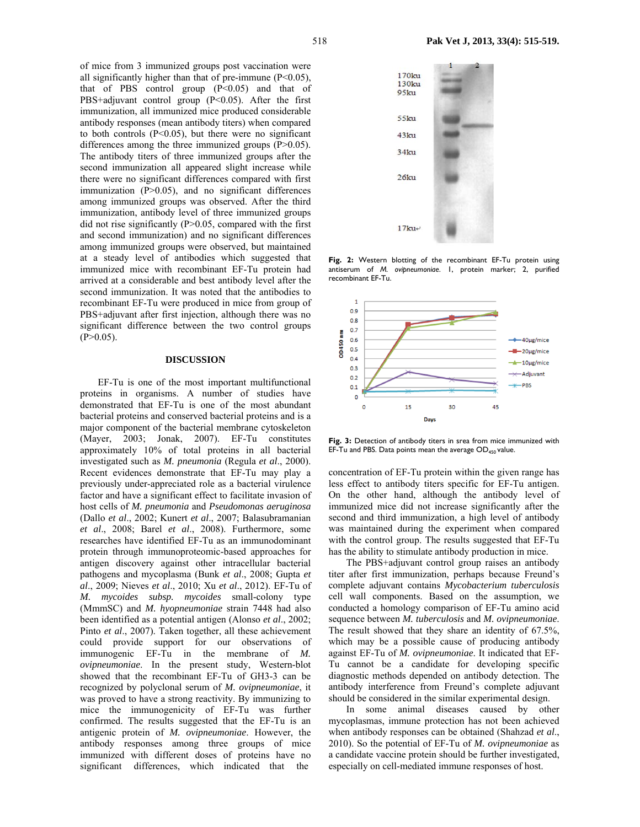of mice from 3 immunized groups post vaccination were all significantly higher than that of pre-immune (P<0.05), that of PBS control group  $(P<0.05)$  and that of PBS+adjuvant control group (P<0.05). After the first immunization, all immunized mice produced considerable antibody responses (mean antibody titers) when compared to both controls  $(P<0.05)$ , but there were no significant differences among the three immunized groups (P>0.05). The antibody titers of three immunized groups after the second immunization all appeared slight increase while there were no significant differences compared with first immunization  $(P>0.05)$ , and no significant differences among immunized groups was observed. After the third immunization, antibody level of three immunized groups did not rise significantly (P>0.05, compared with the first and second immunization) and no significant differences among immunized groups were observed, but maintained at a steady level of antibodies which suggested that immunized mice with recombinant EF-Tu protein had arrived at a considerable and best antibody level after the second immunization. It was noted that the antibodies to recombinant EF-Tu were produced in mice from group of PBS+adjuvant after first injection, although there was no significant difference between the two control groups  $(P>0.05)$ .

### **DISCUSSION**

EF-Tu is one of the most important multifunctional proteins in organisms. A number of studies have demonstrated that EF-Tu is one of the most abundant bacterial proteins and conserved bacterial proteins and is a major component of the bacterial membrane cytoskeleton (Mayer, 2003; Jonak, 2007). EF-Tu constitutes approximately 10% of total proteins in all bacterial investigated such as *M. pneumonia* (Regula *et al*., 2000). Recent evidences demonstrate that EF-Tu may play a previously under-appreciated role as a bacterial virulence factor and have a significant effect to facilitate invasion of host cells of *M. pneumonia* and *Pseudomonas aeruginosa* (Dallo *et al*., 2002; Kunert *et al*., 2007; Balasubramanian *et al*., 2008; Barel *et al*., 2008). Furthermore, some researches have identified EF-Tu as an immunodominant protein through immunoproteomic-based approaches for antigen discovery against other intracellular bacterial pathogens and mycoplasma (Bunk *et al*., 2008; Gupta *et al*., 2009; Nieves *et al*., 2010; Xu *et al*., 2012). EF-Tu of *M. mycoides subsp. mycoides* small-colony type (MmmSC) and *M. hyopneumoniae* strain 7448 had also been identified as a potential antigen (Alonso *et al*., 2002; Pinto *et al*., 2007). Taken together, all these achievement could provide support for our observations of immunogenic EF-Tu in the membrane of *M. ovipneumoniae*. In the present study, Western-blot showed that the recombinant EF-Tu of GH3-3 can be recognized by polyclonal serum of *M. ovipneumoniae*, it was proved to have a strong reactivity. By immunizing to mice the immunogenicity of EF-Tu was further confirmed. The results suggested that the EF-Tu is an antigenic protein of *M. ovipneumoniae*. However, the antibody responses among three groups of mice immunized with different doses of proteins have no significant differences, which indicated that the



**Fig. 2:** Western blotting of the recombinant EF-Tu protein using antiserum of *M. ovipneumoniae*. 1, protein marker; 2, purified recombinant EF-Tu.



Fig. 3: Detection of antibody titers in srea from mice immunized with EF-Tu and PBS. Data points mean the average  $OD<sub>450</sub>$  value.

concentration of EF-Tu protein within the given range has less effect to antibody titers specific for EF-Tu antigen. On the other hand, although the antibody level of immunized mice did not increase significantly after the second and third immunization, a high level of antibody was maintained during the experiment when compared with the control group. The results suggested that EF-Tu has the ability to stimulate antibody production in mice.

The PBS+adjuvant control group raises an antibody titer after first immunization, perhaps because Freund's complete adjuvant contains *Mycobacterium tuberculosis*  cell wall components. Based on the assumption, we conducted a homology comparison of EF-Tu amino acid sequence between *M. tuberculosis* and *M. ovipneumoniae*. The result showed that they share an identity of 67.5%, which may be a possible cause of producing antibody against EF-Tu of *M. ovipneumoniae*. It indicated that EF-Tu cannot be a candidate for developing specific diagnostic methods depended on antibody detection. The antibody interference from Freund's complete adjuvant should be considered in the similar experimental design.

In some animal diseases caused by other mycoplasmas, immune protection has not been achieved when antibody responses can be obtained (Shahzad *et al*., 2010). So the potential of EF-Tu of *M. ovipneumoniae* as a candidate vaccine protein should be further investigated, especially on cell-mediated immune responses of host.